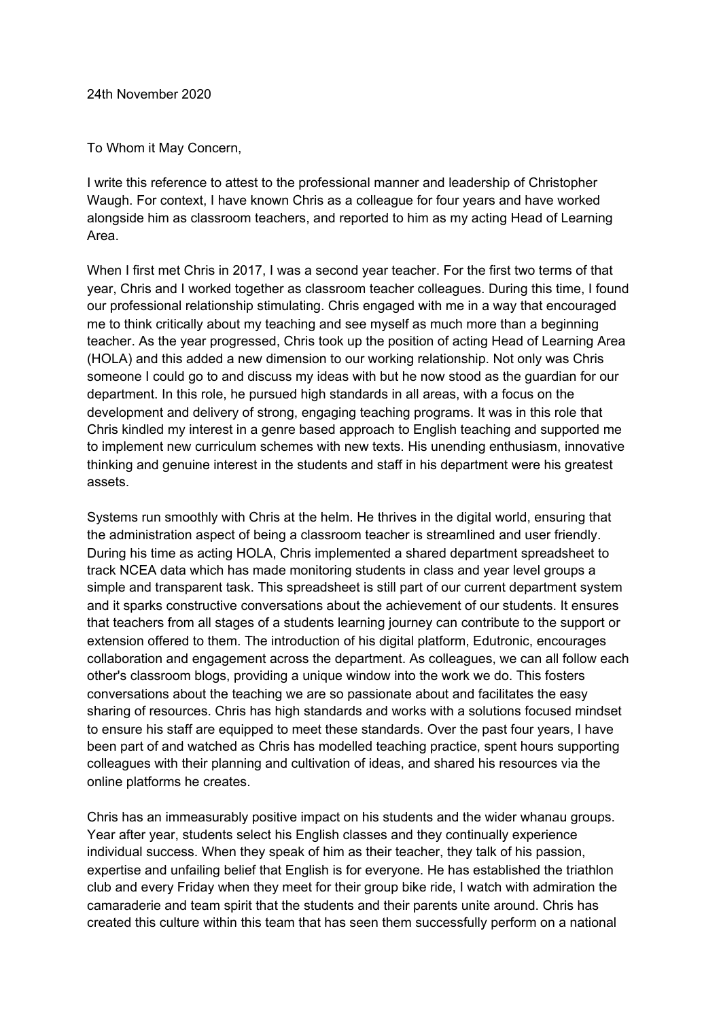24th November 2020

To Whom it May Concern,

I write this reference to attest to the professional manner and leadership of Christopher Waugh. For context, I have known Chris as a colleague for four years and have worked alongside him as classroom teachers, and reported to him as my acting Head of Learning Area.

When I first met Chris in 2017, I was a second year teacher. For the first two terms of that year, Chris and I worked together as classroom teacher colleagues. During this time, I found our professional relationship stimulating. Chris engaged with me in a way that encouraged me to think critically about my teaching and see myself as much more than a beginning teacher. As the year progressed, Chris took up the position of acting Head of Learning Area (HOLA) and this added a new dimension to our working relationship. Not only was Chris someone I could go to and discuss my ideas with but he now stood as the guardian for our department. In this role, he pursued high standards in all areas, with a focus on the development and delivery of strong, engaging teaching programs. It was in this role that Chris kindled my interest in a genre based approach to English teaching and supported me to implement new curriculum schemes with new texts. His unending enthusiasm, innovative thinking and genuine interest in the students and staff in his department were his greatest assets.

Systems run smoothly with Chris at the helm. He thrives in the digital world, ensuring that the administration aspect of being a classroom teacher is streamlined and user friendly. During his time as acting HOLA, Chris implemented a shared department spreadsheet to track NCEA data which has made monitoring students in class and year level groups a simple and transparent task. This spreadsheet is still part of our current department system and it sparks constructive conversations about the achievement of our students. It ensures that teachers from all stages of a students learning journey can contribute to the support or extension offered to them. The introduction of his digital platform, Edutronic, encourages collaboration and engagement across the department. As colleagues, we can all follow each other's classroom blogs, providing a unique window into the work we do. This fosters conversations about the teaching we are so passionate about and facilitates the easy sharing of resources. Chris has high standards and works with a solutions focused mindset to ensure his staff are equipped to meet these standards. Over the past four years, I have been part of and watched as Chris has modelled teaching practice, spent hours supporting colleagues with their planning and cultivation of ideas, and shared his resources via the online platforms he creates.

Chris has an immeasurably positive impact on his students and the wider whanau groups. Year after year, students select his English classes and they continually experience individual success. When they speak of him as their teacher, they talk of his passion, expertise and unfailing belief that English is for everyone. He has established the triathlon club and every Friday when they meet for their group bike ride, I watch with admiration the camaraderie and team spirit that the students and their parents unite around. Chris has created this culture within this team that has seen them successfully perform on a national